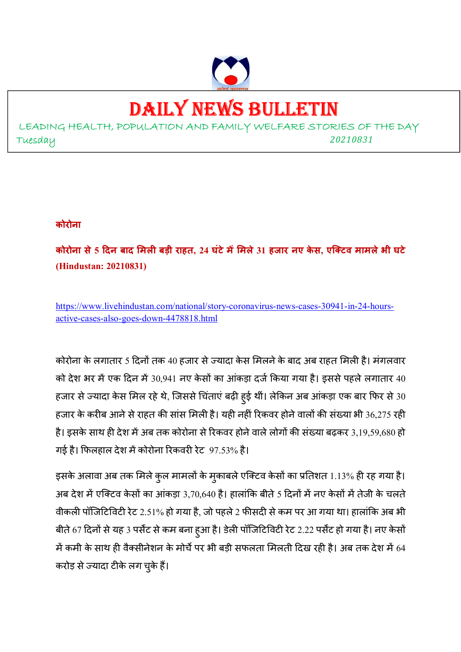

# DAILY NEWS BULLETIN

LEADING HEALTH, POPULATION AND FAMILY WELFARE STORIES OF THE DAY Tuesday *<sup>20210831</sup>*

#### **कोरोना**

**कोरोना से 5 दन बाद मल बड़ी राहत, 24 घंटेममले 31 हजार नए के स, एिटव मामलेभी घटे (Hindustan: 20210831)** 

https://www.livehindustan.com/national/story-coronavirus-news-cases-30941-in-24-hoursactive-cases-also-goes-down-4478818.html

कोरोना के लगातार 5 दिनों तक 40 हजार से ज्यादा केस मिलने के बाद अब राहत मिली है। मंगलवार को देश भर में एक दिन में 30,941 नए केसों का आंकड़ा दर्ज किया गया है। इससे पहले लगातार 40 हजार से ज्यादा केस मिल रहे थे, जिससे चिंताएं बढ़ी हुई थीं। लेकिन अब आंकड़ा एक बार फिर से 30 हजार के करीब आने से राहत की सांस मिली है। यही नहीं रिकवर होने वालों की संख्या भी 36,275 रही है। इसके साथ ही देश में अब तक कोरोना से रिकवर होने वाले लोगों की संख्या बढ़कर 3,19,59,680 हो गई है। फिलहाल देश में कोरोना रिकवरी रेट 97.53% है।

इसके अलावा अब तक मिले कुल मामलों के मुकाबले एक्टिव केसों का प्रतिशत 1.13% ही रह गया है। अब देश में एक्टिव केसों का आंकड़ा 3,70,640 है। हालांकि बीते 5 दिनों में नए केसों में तेजी के चलते वीकली पॉजिटिविटी रेट 2.51% हो गया है, जो पहले 2 फीसदी से कम पर आ गया था। हालांकि अब भी बीते 67 दिनों से यह 3 पर्सेंट से कम बना हूआ है। डेली पॉजिटिविटी रेट 2.22 पर्सेंट हो गया है। नए केसों में कमी के साथ ही वैक्सीनेशन के मोर्चे पर भी बड़ी सफलता मिलती दिख रही है। अब तक देश में 64 करोड़ से ज्यादा टीके लग चुके हैं।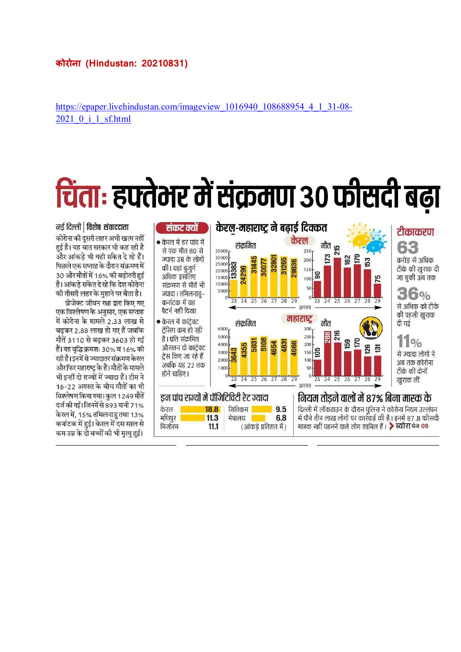#### **कोरोना (Hindustan: 20210831)**

https://epaper.livehindustan.com/imageview\_1016940\_108688954\_4\_1\_31-08-2021\_0\_i\_1\_sf.html

# चिंता: हफ्तेभर में संक्रमण 30 फीसदी बढ़ा



नर्ड दिल्ली | विशेष संवाददाता कोरोना की दुसरी लहर अभी खत्म नहीं हई है। यह बात सरकार भी कह रही है और आंकडे भी यही संकेत दे रहे हैं। पिछले एक सप्ताह के दौरान संक्रमण में 30 और मौतों में 16% की बढ़ोतरी हुई है। आंकडे संकेत दे रहे कि देश कोरोना की तीसरी लहर के महाने पर बैठा है।

प्रोजेक्ट जीवन रक्षा द्वारा किए गए एक विश्लेषण के अनुसार, एक सप्ताह में कोरोना के मामले 2.33 लाख से बढकर 2.88 लाख हो गए हैं जबकि मौतें 3110 से बढकर 3603 हो गई हैं। यह वृद्धि क्रमशः 30% व 16% की रही है। इनमें से ज्यादातर संक्रमण केरल और फिर महाराष्ट के हैं। मौतों के मामले भी इन्हीं दो राज्यों में ज्यादा हैं। टीम ने 16-22 अगस्त के बीच मौतों का भी विश्लेषण किया गया। कल 1249 मौतें दर्ज की गईं। जिनमें से 893 यानी 71% केरल में, 15% तमिलनाड तथा 13% कर्नाटक में हुई। केरल में दस साल से कम उम्र के दो बच्चों की भी मृत्यु हुई।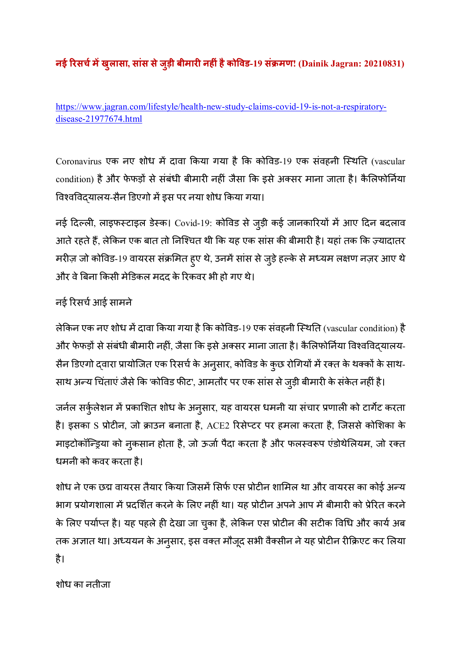# **नई /रसच1मखुलासा, सांस सेजुड़ी बीमार नहंहैको5वड-19 सं7मण! (Dainik Jagran: 20210831)**

https://www.jagran.com/lifestyle/health-new-study-claims-covid-19-is-not-a-respiratorydisease-21977674.html

Coronavirus एक नए शोध में दावा किया गया है कि कोविड-19 एक संवहनी स्थिति (vascular condition) है और फेफड़ों से संबंधी बीमारी नहीं जैसा कि इसे अक्सर माना जाता है। कैलिफोर्निया विश्वविदयालय-सैन डिएगो में इस पर नया शोध किया गया।

नई दिल्ली, लाइफस्टाइल डेस्क। Covid-19: कोविड से जुड़ी कई जानकारियों में आए दिन बदलाव आते रहते हैं, लेकिन एक बात तो निश्चित थी कि यह एक सांस की बीमारी है। यहां तक कि ज़्यादातर मरीज़ जो कोविड-19 वायरस संक्रमित हुए थे, उनमें सांस से जुड़े हल्के से मध्यम लक्षण नज़र आए थे और वे बिना किसी मेडिकल मदद के रिकवर भी हो गए थे।

# नई रिसर्च आई सामने

लेकिन एक नए शोध में दावा किया गया है कि कोविड-19 एक संवहनी स्थिति (vascular condition) है और फेफड़ों से संबंधी बीमारी नहीं, जैसा कि इसे अक्सर माना जाता है। कैलिफोर्निया विश्वविद्यालय-सैन डिएगो द्वारा प्रायोजित एक रिसर्च के अनुसार, कोविड के कुछ रोगियों में रक्त के थक्कों के साथ-साथ अन्य चिंताएं जैसे कि 'कोविड फीट', आमतौर पर एक सांस से जुड़ी बीमारी के संकेत नहीं है।

जर्नल सर्कुलेशन में प्रकाशित शोध के अनुसार, यह वायरस धमनी या संचार प्रणाली को टार्गेट करता है। इसका S प्रोटीन, जो क्राउन बनाता है, ACE2 रिसेप्टर पर हमला करता है, जिससे कोशिका के माइटोकॉन्ड्रिया को नुकसान होता है, जो ऊर्जा पैदा करता है और फलस्वरूप एंडोथेलियम, जो रक्त धमनी को कवर करता है।

शोध ने एक छद्म वायरस तैयार किया जिसमें सिर्फ एस प्रोटीन शामिल था और वायरस का कोई अन्य भाग प्रयोगशाला में प्रदर्शित करने के लिए नहीं था। यह प्रोटीन अपने आप में बीमारी को प्रेरित करने के लिए पर्याप्त है। यह पहले ही देखा जा चुका है, लेकिन एस प्रोटीन की सटीक विधि और कार्य अब तक अज्ञात था। अध्ययन के अनुसार, इस वक्त मौजूद सभी वैक्सीन ने यह प्रोटीन रीक्रिएट कर लिया है।

शोध का नतीजा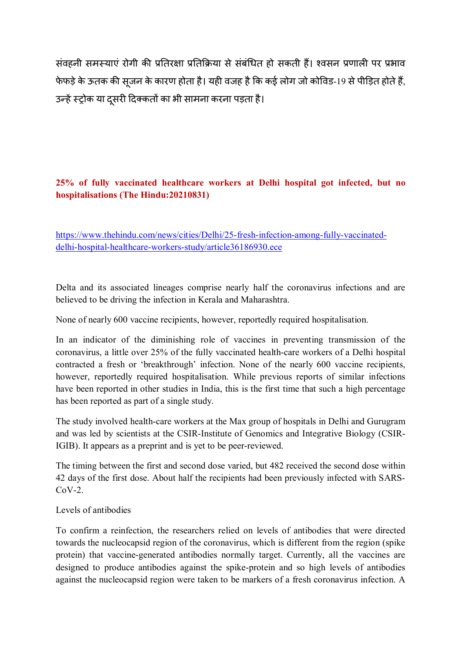संवहनी समस्याएं रोगी की प्रतिरक्षा प्रतिक्रिया से संबंधित हो सकती हैं। श्वसन प्रणाली पर प्रभाव फेफड़े के ऊतक की सजन के कारण होता है। यही वजह है कि कई लोग जो कोविड-19 से पीड़ित होते हैं, उन्हें स्ट्रोक या दसरी दिक्कतों का भी सामना करना पड़ता है।

#### **25% of fully vaccinated healthcare workers at Delhi hospital got infected, but no hospitalisations (The Hindu:20210831)**

https://www.thehindu.com/news/cities/Delhi/25-fresh-infection-among-fully-vaccinateddelhi-hospital-healthcare-workers-study/article36186930.ece

Delta and its associated lineages comprise nearly half the coronavirus infections and are believed to be driving the infection in Kerala and Maharashtra.

None of nearly 600 vaccine recipients, however, reportedly required hospitalisation.

In an indicator of the diminishing role of vaccines in preventing transmission of the coronavirus, a little over 25% of the fully vaccinated health-care workers of a Delhi hospital contracted a fresh or 'breakthrough' infection. None of the nearly 600 vaccine recipients, however, reportedly required hospitalisation. While previous reports of similar infections have been reported in other studies in India, this is the first time that such a high percentage has been reported as part of a single study.

The study involved health-care workers at the Max group of hospitals in Delhi and Gurugram and was led by scientists at the CSIR-Institute of Genomics and Integrative Biology (CSIR-IGIB). It appears as a preprint and is yet to be peer-reviewed.

The timing between the first and second dose varied, but 482 received the second dose within 42 days of the first dose. About half the recipients had been previously infected with SARS- $CoV-2$ .

#### Levels of antibodies

To confirm a reinfection, the researchers relied on levels of antibodies that were directed towards the nucleocapsid region of the coronavirus, which is different from the region (spike protein) that vaccine-generated antibodies normally target. Currently, all the vaccines are designed to produce antibodies against the spike-protein and so high levels of antibodies against the nucleocapsid region were taken to be markers of a fresh coronavirus infection. A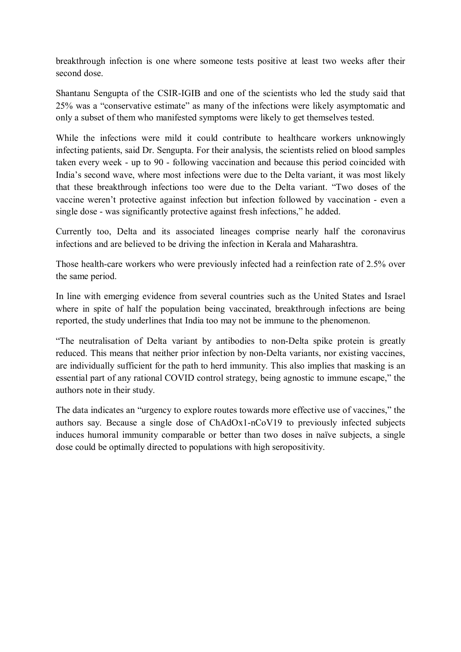breakthrough infection is one where someone tests positive at least two weeks after their second dose.

Shantanu Sengupta of the CSIR-IGIB and one of the scientists who led the study said that 25% was a "conservative estimate" as many of the infections were likely asymptomatic and only a subset of them who manifested symptoms were likely to get themselves tested.

While the infections were mild it could contribute to healthcare workers unknowingly infecting patients, said Dr. Sengupta. For their analysis, the scientists relied on blood samples taken every week - up to 90 - following vaccination and because this period coincided with India's second wave, where most infections were due to the Delta variant, it was most likely that these breakthrough infections too were due to the Delta variant. "Two doses of the vaccine weren't protective against infection but infection followed by vaccination - even a single dose - was significantly protective against fresh infections," he added.

Currently too, Delta and its associated lineages comprise nearly half the coronavirus infections and are believed to be driving the infection in Kerala and Maharashtra.

Those health-care workers who were previously infected had a reinfection rate of 2.5% over the same period.

In line with emerging evidence from several countries such as the United States and Israel where in spite of half the population being vaccinated, breakthrough infections are being reported, the study underlines that India too may not be immune to the phenomenon.

"The neutralisation of Delta variant by antibodies to non-Delta spike protein is greatly reduced. This means that neither prior infection by non-Delta variants, nor existing vaccines, are individually sufficient for the path to herd immunity. This also implies that masking is an essential part of any rational COVID control strategy, being agnostic to immune escape," the authors note in their study.

The data indicates an "urgency to explore routes towards more effective use of vaccines," the authors say. Because a single dose of ChAdOx1-nCoV19 to previously infected subjects induces humoral immunity comparable or better than two doses in naïve subjects, a single dose could be optimally directed to populations with high seropositivity.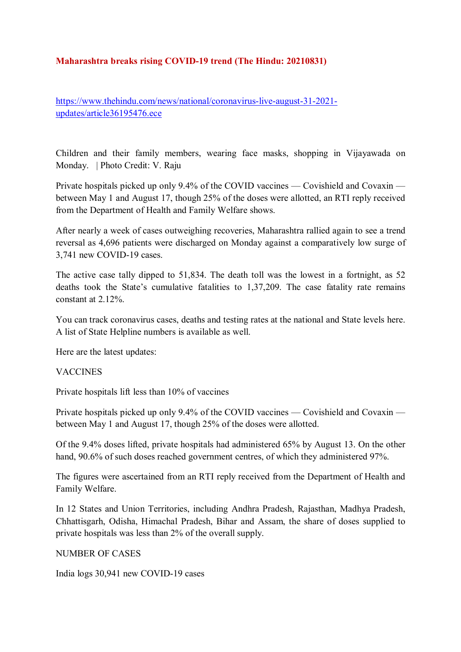#### **Maharashtra breaks rising COVID-19 trend (The Hindu: 20210831)**

https://www.thehindu.com/news/national/coronavirus-live-august-31-2021 updates/article36195476.ece

Children and their family members, wearing face masks, shopping in Vijayawada on Monday. | Photo Credit: V. Raju

Private hospitals picked up only 9.4% of the COVID vaccines — Covishield and Covaxin between May 1 and August 17, though 25% of the doses were allotted, an RTI reply received from the Department of Health and Family Welfare shows.

After nearly a week of cases outweighing recoveries, Maharashtra rallied again to see a trend reversal as 4,696 patients were discharged on Monday against a comparatively low surge of 3,741 new COVID-19 cases.

The active case tally dipped to 51,834. The death toll was the lowest in a fortnight, as 52 deaths took the State's cumulative fatalities to 1,37,209. The case fatality rate remains constant at 2.12%.

You can track coronavirus cases, deaths and testing rates at the national and State levels here. A list of State Helpline numbers is available as well.

Here are the latest updates:

#### VACCINES

Private hospitals lift less than 10% of vaccines

Private hospitals picked up only 9.4% of the COVID vaccines — Covishield and Covaxin between May 1 and August 17, though 25% of the doses were allotted.

Of the 9.4% doses lifted, private hospitals had administered 65% by August 13. On the other hand, 90.6% of such doses reached government centres, of which they administered 97%.

The figures were ascertained from an RTI reply received from the Department of Health and Family Welfare.

In 12 States and Union Territories, including Andhra Pradesh, Rajasthan, Madhya Pradesh, Chhattisgarh, Odisha, Himachal Pradesh, Bihar and Assam, the share of doses supplied to private hospitals was less than 2% of the overall supply.

#### NUMBER OF CASES

India logs 30,941 new COVID-19 cases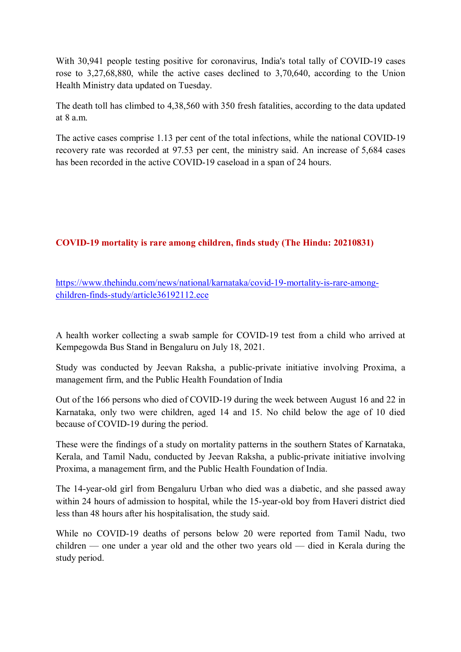With 30,941 people testing positive for coronavirus, India's total tally of COVID-19 cases rose to 3,27,68,880, while the active cases declined to 3,70,640, according to the Union Health Ministry data updated on Tuesday.

The death toll has climbed to 4,38,560 with 350 fresh fatalities, according to the data updated at  $8a$  m.

The active cases comprise 1.13 per cent of the total infections, while the national COVID-19 recovery rate was recorded at 97.53 per cent, the ministry said. An increase of 5,684 cases has been recorded in the active COVID-19 caseload in a span of 24 hours.

#### **COVID-19 mortality is rare among children, finds study (The Hindu: 20210831)**

https://www.thehindu.com/news/national/karnataka/covid-19-mortality-is-rare-amongchildren-finds-study/article36192112.ece

A health worker collecting a swab sample for COVID-19 test from a child who arrived at Kempegowda Bus Stand in Bengaluru on July 18, 2021.

Study was conducted by Jeevan Raksha, a public-private initiative involving Proxima, a management firm, and the Public Health Foundation of India

Out of the 166 persons who died of COVID-19 during the week between August 16 and 22 in Karnataka, only two were children, aged 14 and 15. No child below the age of 10 died because of COVID-19 during the period.

These were the findings of a study on mortality patterns in the southern States of Karnataka, Kerala, and Tamil Nadu, conducted by Jeevan Raksha, a public-private initiative involving Proxima, a management firm, and the Public Health Foundation of India.

The 14-year-old girl from Bengaluru Urban who died was a diabetic, and she passed away within 24 hours of admission to hospital, while the 15-year-old boy from Haveri district died less than 48 hours after his hospitalisation, the study said.

While no COVID-19 deaths of persons below 20 were reported from Tamil Nadu, two children — one under a year old and the other two years old — died in Kerala during the study period.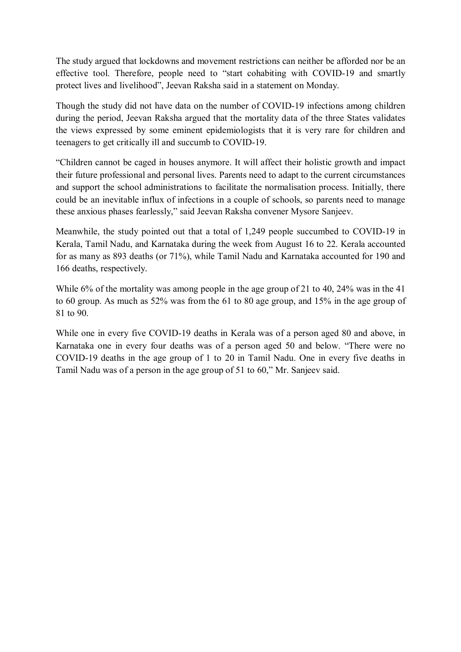The study argued that lockdowns and movement restrictions can neither be afforded nor be an effective tool. Therefore, people need to "start cohabiting with COVID-19 and smartly protect lives and livelihood", Jeevan Raksha said in a statement on Monday.

Though the study did not have data on the number of COVID-19 infections among children during the period, Jeevan Raksha argued that the mortality data of the three States validates the views expressed by some eminent epidemiologists that it is very rare for children and teenagers to get critically ill and succumb to COVID-19.

"Children cannot be caged in houses anymore. It will affect their holistic growth and impact their future professional and personal lives. Parents need to adapt to the current circumstances and support the school administrations to facilitate the normalisation process. Initially, there could be an inevitable influx of infections in a couple of schools, so parents need to manage these anxious phases fearlessly," said Jeevan Raksha convener Mysore Sanjeev.

Meanwhile, the study pointed out that a total of 1,249 people succumbed to COVID-19 in Kerala, Tamil Nadu, and Karnataka during the week from August 16 to 22. Kerala accounted for as many as 893 deaths (or 71%), while Tamil Nadu and Karnataka accounted for 190 and 166 deaths, respectively.

While 6% of the mortality was among people in the age group of 21 to 40, 24% was in the 41 to 60 group. As much as 52% was from the 61 to 80 age group, and 15% in the age group of 81 to 90.

While one in every five COVID-19 deaths in Kerala was of a person aged 80 and above, in Karnataka one in every four deaths was of a person aged 50 and below. "There were no COVID-19 deaths in the age group of 1 to 20 in Tamil Nadu. One in every five deaths in Tamil Nadu was of a person in the age group of 51 to 60," Mr. Sanjeev said.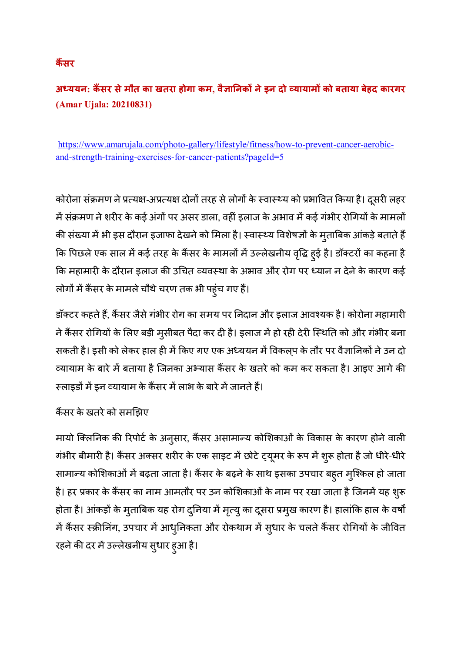# **कैंसर**

# **अ;ययन: क9सर सेमौत का खतरा होगा कम, वै?ा@नकA नेइन दो CयायामA को बताया बेहद कारगर (Amar Ujala: 20210831)**

https://www.amarujala.com/photo-gallery/lifestyle/fitness/how-to-prevent-cancer-aerobicand-strength-training-exercises-for-cancer-patients?pageId=5

कोरोना संक्रमण ने प्रत्यक्ष-अप्रत्यक्ष दोनों तरह से लोगों के स्वास्थ्य को प्रभावित किया है। दूसरी लहर में संक्रमण ने शरीर के कई अंगों पर असर डाला, वहीं इलाज के अभाव में कई गंभीर रोगियों के मामलों की संख्या में भी इस दौरान इजाफा देखने को मिला है। स्वास्थ्य विशेषज्ञों के मुताबिक आंकड़े बताते हैं कि पिछले एक साल में कई तरह के कैंसर के मामलों में उल्लेखनीय वृद्धि ह्ई है। डॉक्टरों का कहना है कि महामारी के दौरान इलाज की उचित व्यवस्था के अभाव और रोग पर ध्यान न देने के कारण कई लोगों में कैंसर के मामले चौथे चरण तक भी पहुंच गए हैं।

डॉक्टर कहते हैं, कैंसर जैसे गंभीर रोग का समय पर निदान और इलाज आवश्यक है। कोरोना महामारी ने कैंसर रोगियों के लिए बड़ी मुसीबत पैदा कर दी है। इलाज में हो रही देरी स्थिति को और गंभीर बना सकती है। इसी को लेकर हाल ही में किए गए एक अध्ययन में विकलप के तौर पर वैज्ञानिकों ने उन दो च्यायाम के बारे में बताया है जिनका अभ्यास कैंसर के खतरे को कम कर सकता है। आइए आगे की स्लाइडों में इन व्यायाम के कैंसर में लाभ के बारे में जानते हैं।

# कैंसर के खतरे को समझिए

मायो क्लिनिक की रिपोर्ट के अनुसार, कैंसर असामान्य कोशिकाओं के विकास के कारण होने वाली गंभीर बीमारी है। कैंसर अक्सर शरीर के एक साइट में छोटे ट्यूमर के रूप में शुरू होता है जो धीरे-धीरे सामान्य कोशिकाओं में बढ़ता जाता है। कैंसर के बढ़ने के साथ इसका उपचार बहुत मुश्किल हो जाता है। हर प्रकार के कैंसर का नाम आमतौर पर उन कोशिकाओं के नाम पर रखा जाता है जिनमें यह शुरू होता है। आंकड़ों के मुताबिक यह रोग दुनिया में मृत्यु का दूसरा प्रमुख कारण है। हालांकि हाल के वर्षों में कैंसर स्क्रीनिंग, उपचार में आधुनिकता और रोकथाम में सुधार के चलते कैंसर रोगियों के जीवित रहने की दर में उल्लेखनीय सुधार हुआ है।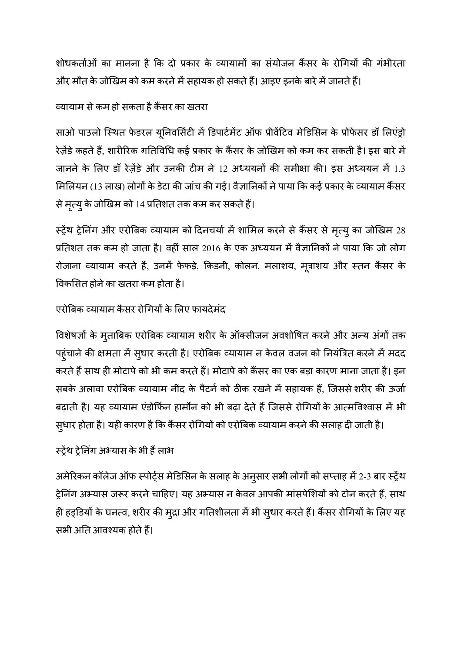शोधकर्ताओं का मानना है कि दो प्रकार के व्यायामों का संयोजन कैंसर के रोगियों की गंभीरता और मौत के जोखिम को कम करने में सहायक हो सकते हैं। आइए इनके बारे में जानते हैं।

### \यायाम सेकम हो सकता हैक<सर का खतरा

साओ पाउलो स्थित फेडरल यूनिवर्सिटी में डिपार्टमेंट ऑफ प्रीवेंटिव मेडिसिन के प्रोफेसर डॉ लिएंड्रो रेज़ेंडे कहते हैं, शारीरिक गतिविधि कई प्रकार के कैंसर के जोखिम को कम कर सकती है। इस बारे में जानने के लिए डॉ रेज़ेंडे और उनकी टीम ने 12 अध्ययनों की समीक्षा की। इस अध्ययन में 1.3 मिलियन (13 लाख) लोगों के डेटा की जांच की गई। वैज्ञानिकों ने पाया कि कई प्रकार के व्यायाम कैंसर से मृत्यु के जोखिम को 14 प्रतिशत तक कम कर सकते हैं।

**स्ट्रेंथ ट्रेनिंग और एरोबिक व्यायाम को दिनचर्या में शामिल करने से कैंसर से मृत्यु का जोखिम** 28 प्रतिशत तक कम हो जाता है। वहीं साल 2016 के एक अध्ययन में वैज्ञानिकों ने पाया कि जो लोग रोजाना व्यायाम करते हैं, उनमें फेफड़े, किडनी, कोलन, मलाशय, मूत्राशय और स्तन कैंसर के विकसित होने का खतरा कम होता है।

# एरोबिक व्यायाम कैंसर रोगियों के लिए फायदेमंद

विशेषज्ञों के मुताबिक एरोबिक व्यायाम शरीर के ऑक्सीजन अवशोषित करने और अन्य अंगों तक पहुंचाने की क्षमता में सुधार करती है। एरोबिक व्यायाम न केवल वजन को नियंत्रित करने में मदद करते हैं साथ ही मोटापे को भी कम करते हैं। मोटापे को कैंसर का एक बड़ा कारण माना जाता है। इन सबके अलावा एरोबिक व्यायाम नींद के पैटर्न को ठीक रखने में सहायक हैं, जिससे शरीर की ऊर्जा बढ़ाती है। यह व्यायाम एंडोर्फिन हार्मोन को भी बढ़ा देते हैं जिससे रोगियों के आत्मविश्वास में भी सुधार होता है। यही कारण है कि कैंसर रोगियों को एरोबिक व्यायाम करने की सलाह दी जाती है।

# स्ट्रेंथ ट्रेनिंग अभ्यास के भी हैं लाभ

अमेरिकन कॉलेज ऑफ स्पोर्ट्स मेडिसिन के सलाह के अनुसार सभी लोगों को सप्ताह में 2-3 बार स्ट्रेंथ ट्रेनिंग अभ्यास जरूर करने चाहिए। यह अभ्यास न केवल आपकी मांसपेशियों को टोन करते हैं, साथ ही हड्डियों के घनत्व, शरीर की मुद्रा और गतिशीलता में भी सुधार करते हैं। कैंसर रोगियों के लिए यह सभी अति आवश्यक होते हैं।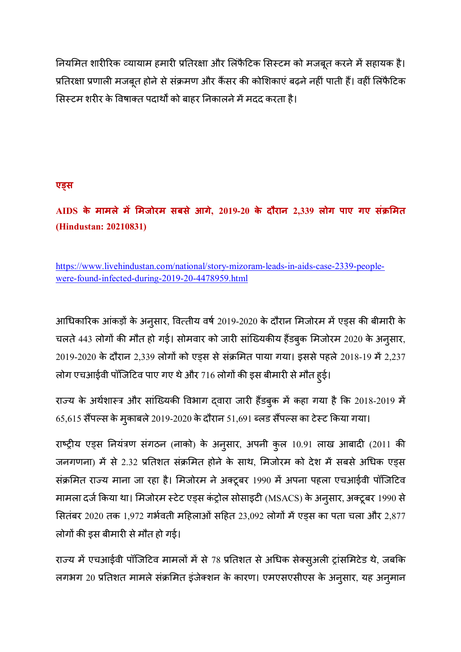नियमित शारीरिक व्यायाम हमारी प्रतिरक्षा और लिंफैटिक सिस्टम को मजबूत करने में सहायक है। प्रतिरक्षा प्रणाली मजबूत होने से संक्रमण और कैंसर की कोशिकाएं बढ़ने नहीं पाती हैं। वहीं लिंफैटिक सिस्टम शरीर के विषाक्त पदार्थों को बाहर निकालने में मदद करता है।

#### **एDस**

**AIDS के मामले म मजोरम सबसे आगे, 2019-20 के दौरान 2,339 लोग पाए गए सं7मत (Hindustan: 20210831)** 

https://www.livehindustan.com/national/story-mizoram-leads-in-aids-case-2339-peoplewere-found-infected-during-2019-20-4478959.html

आधिकारिक आंकड़ों के अनुसार, वित्तीय वर्ष 2019-2020 के दौरान मिजोरम में एड्स की बीमारी के चलते 443 लोगों की मौत हो गई। सोमवार को जारी सांख्यिकीय हैंडबुक मिजोरम 2020 के अनुसार, 2019-2020 के दौरान 2,339 लोगों को एड़स से संक्रमित पाया गया। इससे पहले 2018-19 में 2,237 लोग एचआईवी पॉजिटिव पाए गए थे और 716 लोगों की इस बीमारी से मौत हुई।

राज्य के अर्थशास्त्र और सांख्यिकी विभाग दवारा जारी हैंडबुक में कहा गया है कि 2018-2019 में  $65,615$  सैंपल्स के मुकाबले 2019-2020 के दौरान 51,691 ब्लड सैंपल्स का टेस्ट किया गया।

राष्ट्रीय एड्स नियंत्रण संगठन (नाको) के अनुसार, अपनी कुल 10.91 लाख आबादी (2011 की जनगणना) में से 2.32 प्रतिशत संक्रमित होने के साथ, मिजोरम को देश में सबसे अधिक एड्स संक्रमित राज्य माना जा रहा है। मिजोरम ने अक्टूबर 1990 में अपना पहला एचआईवी पॉजिटिव मामला दर्ज किया था। मिजोरम स्टेट एड्स कंट्रोल सोसाइटी (MSACS) के अनुसार, अक्टूबर 1990 से सितंबर 2020 तक 1,972 गर्भवती महिलाओं सहित 23,092 लोगों में एड्स का पता चला और 2,877 लोगों की इस बीमारी से मौत हो गई।

राज्य में एचआईवी पॉजिटिव मामलों में से 78 प्रतिशत से अधिक सेक्सुअली ट्रांसमिटेड थे, जबकि लगभग 20 प्रतिशत मामले संक्रमित इंजेक्शन के कारण। एमएसएसीएस के अनुसार, यह अनुमान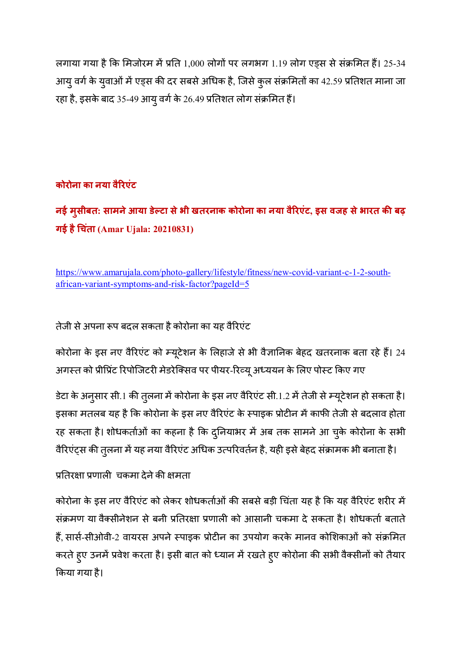लगाया गया है कि मिजोरम में प्रति 1,000 लोगों पर लगभग 1.19 लोग एड़स से संक्रमित हैं। 25-34 आयु वर्ग के युवाओं में एड्स की दर सबसे अधिक है, जिसे कुल संक्रमितों का 42.59 प्रतिशत माना जा रहा है, इसके बाद 35-49 आयु वर्ग के 26.49 प्रतिशत लोग संक्रमित हैं।

# **कोरोना का नया वै/रएंट**

**नई मुसीबत: सामनेआया डेGटा सेभी खतरनाक कोरोना का नया वै/रएंट, इस वजह सेभारत कH बढ़ गई हैJचंता (Amar Ujala: 20210831)** 

https://www.amarujala.com/photo-gallery/lifestyle/fitness/new-covid-variant-c-1-2-southafrican-variant-symptoms-and-risk-factor?pageId=5

तेजी से अपना रूप बदल सकता है कोरोना का यह वैरिएंट

कोरोना के इस नए वैरिएंट को म्यूटेशन के लिहाजे से भी वैज्ञानिक बेहद खतरनाक बता रहे हैं। 24 अगस्त को प्रीप्रिंट रिपोजिटरी मेडरेक्सिव पर पीयर-रिव्यू अध्ययन के लिए पोस्ट किए गए

डेटा के अनुसार सी.1 की तुलना में कोरोना के इस नए वैरिएंट सी.1.2 में तेजी से म्यूटेशन हो सकता है। इसका मतलब यह है कि कोरोना के इस नए वैरिएंट के स्पाइक प्रोटीन में काफी तेजी से बदलाव होता रह सकता है। शोधकर्ताओं का कहना है कि दुनियाभर में अब तक सामने आ चुके कोरोना के सभी वैरिएंट्स की तुलना में यह नया वैरिएंट अधिक उत्परिवर्तन है, यही इसे बेहद संक्रामक भी बनाता है।

प्रतिरक्षा प्रणाली चकमा देने की क्षमता

कोरोना के इस नए वैरिएंट को लेकर शोधकर्ताओं की सबसे बड़ी चिंता यह है कि यह वैरिएंट शरीर में संक्रमण या वैक्सीनेशन से बनी प्रतिरक्षा प्रणाली को आसानी चकमा दे सकता है। शोधकर्ता बताते हैं, सार्स-सीओवी-2 वायरस अपने स्पाइक प्रोटीन का उपयोग करके मानव कोशिकाओं को संक्रमित करते हुए उनमें प्रवेश करता है। इसी बात को ध्यान में रखते हुए कोरोना की सभी वैक्सीनों को तैयार किया गया है।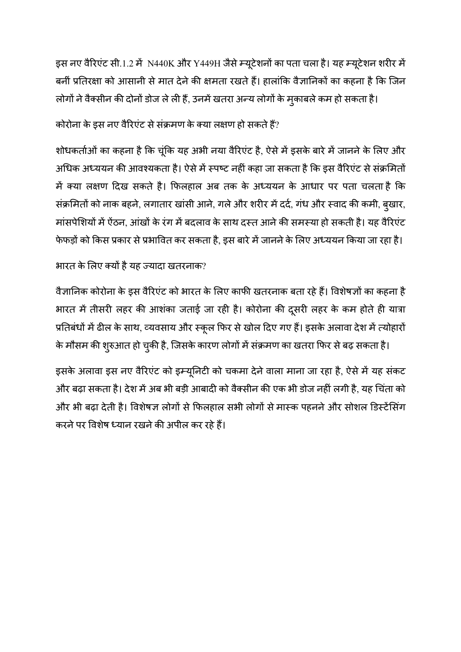इस नए वैरिएंट सी.1.2 में N440K और Y449H जैसे म्यूटेशनों का पता चला है। यह म्यूटेशन शरीर में बनीं प्रतिरक्षा को आसानी से मात देने की क्षमता रखते हैं। हालांकि वैज्ञानिकों का कहना है कि जिन लोगों ने वैक्सीन की दोनों डोज ले ली हैं, उनमें खतरा अन्य लोगों के मुकाबले कम हो सकता है।

# कोरोना के इस नए वैरिएंट से संक्रमण के क्या लक्षण हो सकते हैं?

शोधकर्ताओं का कहना है कि चूंकि यह अभी नया वैरिएंट है, ऐसे में इसके बारे में जानने के लिए और अधिक अध्ययन की आवश्यकता है। ऐसे में स्पष्ट नहीं कहा जा सकता है कि इस वैरिएंट से संक्रमितों में क्या लक्षण दिख सकते है। फिलहाल अब तक के अध्ययन के आधार पर पता चलता है कि संक्रमितों को नाक बहने, लगातार खांसी आने, गले और शरीर में दर्द, गंध और स्वाद की कमी, बुखार, मांसपेशियों में ऐंठन, आंखों के रंग में बदलाव के साथ दस्त आने की समस्या हो सकती है। यह वैरिएंट फेफड़ों को किस प्रकार से प्रभावित कर सकता है, इस बारे में जानने के लिए अध्ययन किया जा रहा है।

# भारत के लिए क्यों है यह ज्यादा खतरनाक?

वैज्ञानिक कोरोना के इस वैरिएंट को भारत के लिए काफी खतरनाक बता रहे हैं। विशेषज्ञों का कहना है भारत में तीसरी लहर की आशंका जताई जा रही है। कोरोना की दूसरी लहर के कम होते ही यात्रा प्रतिबंधों में ढील के साथ, व्यवसाय और स्कूल फिर से खोल दिए गए हैं। इसके अलावा देश में त्योहारों के मौसम की शुरुआत हो चुकी है, जिसके कारण लोगों में संक्रमण का खतरा फिर से बढ़ सकता है।

इसके अलावा इस नए वैरिएंट को इम्यूनिटी को चकमा देने वाला माना जा रहा है, ऐसे में यह संकट और बढ़ा सकता है। देश में अब भी बड़ी आबादी को वैक्सीन की एक भी डोज नहीं लगी है, यह चिंता को और भी बढ़ा देती है। विशेषज्ञ लोगों से फिलहाल सभी लोगों से मास्क पहनने और सोशल डिस्टेंसिंग करने पर विशेष ध्यान रखने की अपील कर रहे हैं।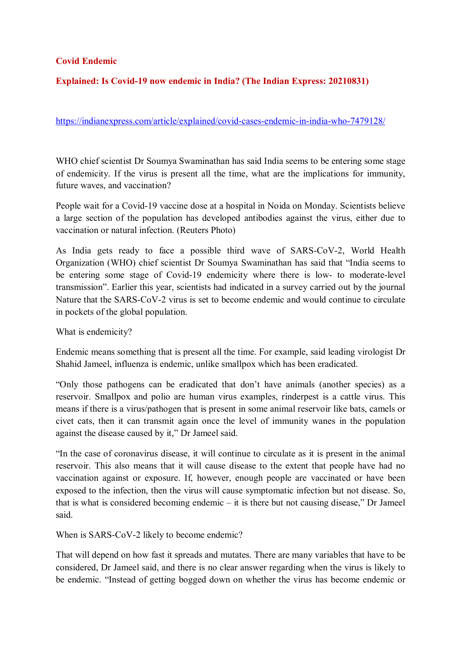#### **Covid Endemic**

#### **Explained: Is Covid-19 now endemic in India? (The Indian Express: 20210831)**

https://indianexpress.com/article/explained/covid-cases-endemic-in-india-who-7479128/

WHO chief scientist Dr Soumya Swaminathan has said India seems to be entering some stage of endemicity. If the virus is present all the time, what are the implications for immunity, future waves, and vaccination?

People wait for a Covid-19 vaccine dose at a hospital in Noida on Monday. Scientists believe a large section of the population has developed antibodies against the virus, either due to vaccination or natural infection. (Reuters Photo)

As India gets ready to face a possible third wave of SARS-CoV-2, World Health Organization (WHO) chief scientist Dr Soumya Swaminathan has said that "India seems to be entering some stage of Covid-19 endemicity where there is low- to moderate-level transmission". Earlier this year, scientists had indicated in a survey carried out by the journal Nature that the SARS-CoV-2 virus is set to become endemic and would continue to circulate in pockets of the global population.

What is endemicity?

Endemic means something that is present all the time. For example, said leading virologist Dr Shahid Jameel, influenza is endemic, unlike smallpox which has been eradicated.

"Only those pathogens can be eradicated that don't have animals (another species) as a reservoir. Smallpox and polio are human virus examples, rinderpest is a cattle virus. This means if there is a virus/pathogen that is present in some animal reservoir like bats, camels or civet cats, then it can transmit again once the level of immunity wanes in the population against the disease caused by it," Dr Jameel said.

"In the case of coronavirus disease, it will continue to circulate as it is present in the animal reservoir. This also means that it will cause disease to the extent that people have had no vaccination against or exposure. If, however, enough people are vaccinated or have been exposed to the infection, then the virus will cause symptomatic infection but not disease. So, that is what is considered becoming endemic – it is there but not causing disease," Dr Jameel said.

When is SARS-CoV-2 likely to become endemic?

That will depend on how fast it spreads and mutates. There are many variables that have to be considered, Dr Jameel said, and there is no clear answer regarding when the virus is likely to be endemic. "Instead of getting bogged down on whether the virus has become endemic or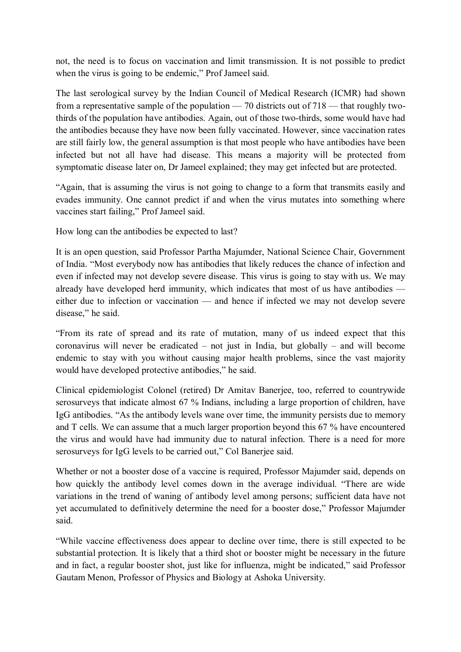not, the need is to focus on vaccination and limit transmission. It is not possible to predict when the virus is going to be endemic," Prof Jameel said.

The last serological survey by the Indian Council of Medical Research (ICMR) had shown from a representative sample of the population — 70 districts out of 718 — that roughly twothirds of the population have antibodies. Again, out of those two-thirds, some would have had the antibodies because they have now been fully vaccinated. However, since vaccination rates are still fairly low, the general assumption is that most people who have antibodies have been infected but not all have had disease. This means a majority will be protected from symptomatic disease later on, Dr Jameel explained; they may get infected but are protected.

"Again, that is assuming the virus is not going to change to a form that transmits easily and evades immunity. One cannot predict if and when the virus mutates into something where vaccines start failing," Prof Jameel said.

How long can the antibodies be expected to last?

It is an open question, said Professor Partha Majumder, National Science Chair, Government of India. "Most everybody now has antibodies that likely reduces the chance of infection and even if infected may not develop severe disease. This virus is going to stay with us. We may already have developed herd immunity, which indicates that most of us have antibodies either due to infection or vaccination — and hence if infected we may not develop severe disease," he said.

"From its rate of spread and its rate of mutation, many of us indeed expect that this coronavirus will never be eradicated – not just in India, but globally – and will become endemic to stay with you without causing major health problems, since the vast majority would have developed protective antibodies," he said.

Clinical epidemiologist Colonel (retired) Dr Amitav Banerjee, too, referred to countrywide serosurveys that indicate almost 67 % Indians, including a large proportion of children, have IgG antibodies. "As the antibody levels wane over time, the immunity persists due to memory and T cells. We can assume that a much larger proportion beyond this 67 % have encountered the virus and would have had immunity due to natural infection. There is a need for more serosurveys for IgG levels to be carried out," Col Banerjee said.

Whether or not a booster dose of a vaccine is required, Professor Majumder said, depends on how quickly the antibody level comes down in the average individual. "There are wide variations in the trend of waning of antibody level among persons; sufficient data have not yet accumulated to definitively determine the need for a booster dose," Professor Majumder said.

"While vaccine effectiveness does appear to decline over time, there is still expected to be substantial protection. It is likely that a third shot or booster might be necessary in the future and in fact, a regular booster shot, just like for influenza, might be indicated," said Professor Gautam Menon, Professor of Physics and Biology at Ashoka University.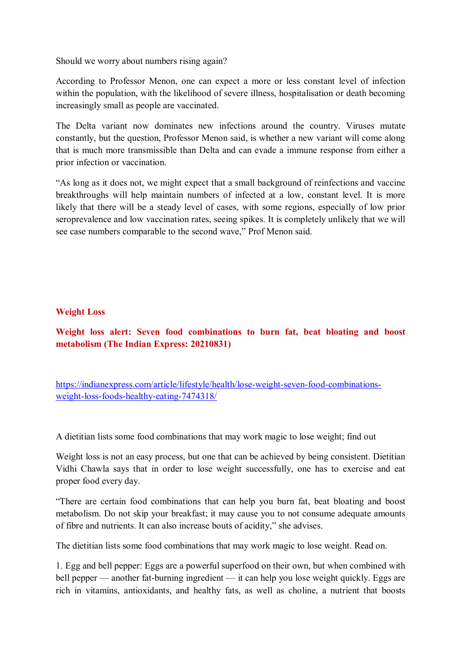Should we worry about numbers rising again?

According to Professor Menon, one can expect a more or less constant level of infection within the population, with the likelihood of severe illness, hospitalisation or death becoming increasingly small as people are vaccinated.

The Delta variant now dominates new infections around the country. Viruses mutate constantly, but the question, Professor Menon said, is whether a new variant will come along that is much more transmissible than Delta and can evade a immune response from either a prior infection or vaccination.

"As long as it does not, we might expect that a small background of reinfections and vaccine breakthroughs will help maintain numbers of infected at a low, constant level. It is more likely that there will be a steady level of cases, with some regions, especially of low prior seroprevalence and low vaccination rates, seeing spikes. It is completely unlikely that we will see case numbers comparable to the second wave," Prof Menon said.

#### **Weight Loss**

**Weight loss alert: Seven food combinations to burn fat, beat bloating and boost metabolism (The Indian Express: 20210831)** 

https://indianexpress.com/article/lifestyle/health/lose-weight-seven-food-combinationsweight-loss-foods-healthy-eating-7474318/

A dietitian lists some food combinations that may work magic to lose weight; find out

Weight loss is not an easy process, but one that can be achieved by being consistent. Dietitian Vidhi Chawla says that in order to lose weight successfully, one has to exercise and eat proper food every day.

"There are certain food combinations that can help you burn fat, beat bloating and boost metabolism. Do not skip your breakfast; it may cause you to not consume adequate amounts of fibre and nutrients. It can also increase bouts of acidity," she advises.

The dietitian lists some food combinations that may work magic to lose weight. Read on.

1. Egg and bell pepper: Eggs are a powerful superfood on their own, but when combined with bell pepper — another fat-burning ingredient — it can help you lose weight quickly. Eggs are rich in vitamins, antioxidants, and healthy fats, as well as choline, a nutrient that boosts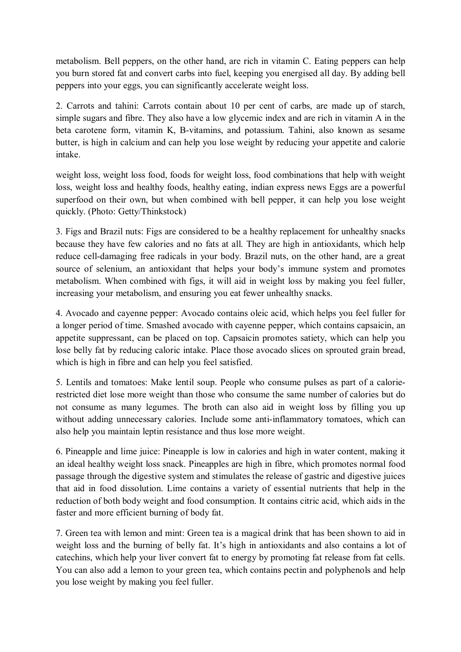metabolism. Bell peppers, on the other hand, are rich in vitamin C. Eating peppers can help you burn stored fat and convert carbs into fuel, keeping you energised all day. By adding bell peppers into your eggs, you can significantly accelerate weight loss.

2. Carrots and tahini: Carrots contain about 10 per cent of carbs, are made up of starch, simple sugars and fibre. They also have a low glycemic index and are rich in vitamin A in the beta carotene form, vitamin K, B-vitamins, and potassium. Tahini, also known as sesame butter, is high in calcium and can help you lose weight by reducing your appetite and calorie intake.

weight loss, weight loss food, foods for weight loss, food combinations that help with weight loss, weight loss and healthy foods, healthy eating, indian express news Eggs are a powerful superfood on their own, but when combined with bell pepper, it can help you lose weight quickly. (Photo: Getty/Thinkstock)

3. Figs and Brazil nuts: Figs are considered to be a healthy replacement for unhealthy snacks because they have few calories and no fats at all. They are high in antioxidants, which help reduce cell-damaging free radicals in your body. Brazil nuts, on the other hand, are a great source of selenium, an antioxidant that helps your body's immune system and promotes metabolism. When combined with figs, it will aid in weight loss by making you feel fuller, increasing your metabolism, and ensuring you eat fewer unhealthy snacks.

4. Avocado and cayenne pepper: Avocado contains oleic acid, which helps you feel fuller for a longer period of time. Smashed avocado with cayenne pepper, which contains capsaicin, an appetite suppressant, can be placed on top. Capsaicin promotes satiety, which can help you lose belly fat by reducing caloric intake. Place those avocado slices on sprouted grain bread, which is high in fibre and can help you feel satisfied.

5. Lentils and tomatoes: Make lentil soup. People who consume pulses as part of a calorierestricted diet lose more weight than those who consume the same number of calories but do not consume as many legumes. The broth can also aid in weight loss by filling you up without adding unnecessary calories. Include some anti-inflammatory tomatoes, which can also help you maintain leptin resistance and thus lose more weight.

6. Pineapple and lime juice: Pineapple is low in calories and high in water content, making it an ideal healthy weight loss snack. Pineapples are high in fibre, which promotes normal food passage through the digestive system and stimulates the release of gastric and digestive juices that aid in food dissolution. Lime contains a variety of essential nutrients that help in the reduction of both body weight and food consumption. It contains citric acid, which aids in the faster and more efficient burning of body fat.

7. Green tea with lemon and mint: Green tea is a magical drink that has been shown to aid in weight loss and the burning of belly fat. It's high in antioxidants and also contains a lot of catechins, which help your liver convert fat to energy by promoting fat release from fat cells. You can also add a lemon to your green tea, which contains pectin and polyphenols and help you lose weight by making you feel fuller.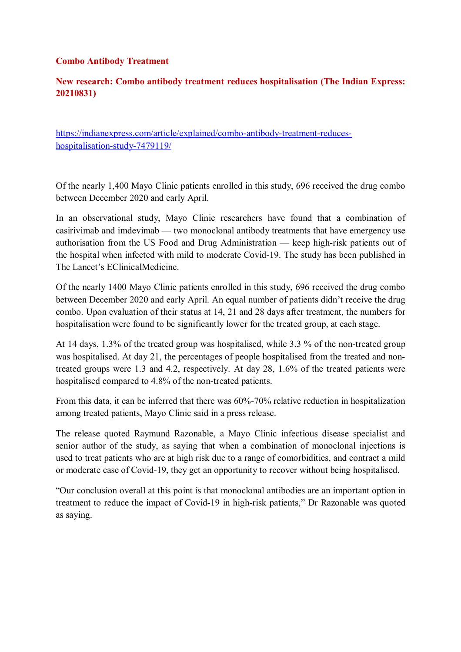#### **Combo Antibody Treatment**

#### **New research: Combo antibody treatment reduces hospitalisation (The Indian Express: 20210831)**

https://indianexpress.com/article/explained/combo-antibody-treatment-reduceshospitalisation-study-7479119/

Of the nearly 1,400 Mayo Clinic patients enrolled in this study, 696 received the drug combo between December 2020 and early April.

In an observational study, Mayo Clinic researchers have found that a combination of casirivimab and imdevimab — two monoclonal antibody treatments that have emergency use authorisation from the US Food and Drug Administration — keep high-risk patients out of the hospital when infected with mild to moderate Covid-19. The study has been published in The Lancet's EClinicalMedicine.

Of the nearly 1400 Mayo Clinic patients enrolled in this study, 696 received the drug combo between December 2020 and early April. An equal number of patients didn't receive the drug combo. Upon evaluation of their status at 14, 21 and 28 days after treatment, the numbers for hospitalisation were found to be significantly lower for the treated group, at each stage.

At 14 days, 1.3% of the treated group was hospitalised, while 3.3 % of the non-treated group was hospitalised. At day 21, the percentages of people hospitalised from the treated and nontreated groups were 1.3 and 4.2, respectively. At day 28, 1.6% of the treated patients were hospitalised compared to 4.8% of the non-treated patients.

From this data, it can be inferred that there was 60%-70% relative reduction in hospitalization among treated patients, Mayo Clinic said in a press release.

The release quoted Raymund Razonable, a Mayo Clinic infectious disease specialist and senior author of the study, as saying that when a combination of monoclonal injections is used to treat patients who are at high risk due to a range of comorbidities, and contract a mild or moderate case of Covid-19, they get an opportunity to recover without being hospitalised.

"Our conclusion overall at this point is that monoclonal antibodies are an important option in treatment to reduce the impact of Covid-19 in high-risk patients," Dr Razonable was quoted as saying.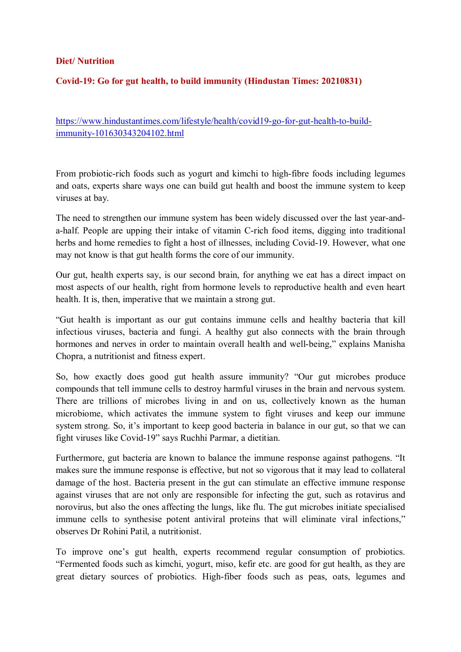#### **Diet/ Nutrition**

#### **Covid-19: Go for gut health, to build immunity (Hindustan Times: 20210831)**

https://www.hindustantimes.com/lifestyle/health/covid19-go-for-gut-health-to-buildimmunity-101630343204102.html

From probiotic-rich foods such as yogurt and kimchi to high-fibre foods including legumes and oats, experts share ways one can build gut health and boost the immune system to keep viruses at bay.

The need to strengthen our immune system has been widely discussed over the last year-anda-half. People are upping their intake of vitamin C-rich food items, digging into traditional herbs and home remedies to fight a host of illnesses, including Covid-19. However, what one may not know is that gut health forms the core of our immunity.

Our gut, health experts say, is our second brain, for anything we eat has a direct impact on most aspects of our health, right from hormone levels to reproductive health and even heart health. It is, then, imperative that we maintain a strong gut.

"Gut health is important as our gut contains immune cells and healthy bacteria that kill infectious viruses, bacteria and fungi. A healthy gut also connects with the brain through hormones and nerves in order to maintain overall health and well-being," explains Manisha Chopra, a nutritionist and fitness expert.

So, how exactly does good gut health assure immunity? "Our gut microbes produce compounds that tell immune cells to destroy harmful viruses in the brain and nervous system. There are trillions of microbes living in and on us, collectively known as the human microbiome, which activates the immune system to fight viruses and keep our immune system strong. So, it's important to keep good bacteria in balance in our gut, so that we can fight viruses like Covid-19" says Ruchhi Parmar, a dietitian.

Furthermore, gut bacteria are known to balance the immune response against pathogens. "It makes sure the immune response is effective, but not so vigorous that it may lead to collateral damage of the host. Bacteria present in the gut can stimulate an effective immune response against viruses that are not only are responsible for infecting the gut, such as rotavirus and norovirus, but also the ones affecting the lungs, like flu. The gut microbes initiate specialised immune cells to synthesise potent antiviral proteins that will eliminate viral infections," observes Dr Rohini Patil, a nutritionist.

To improve one's gut health, experts recommend regular consumption of probiotics. "Fermented foods such as kimchi, yogurt, miso, kefir etc. are good for gut health, as they are great dietary sources of probiotics. High-fiber foods such as peas, oats, legumes and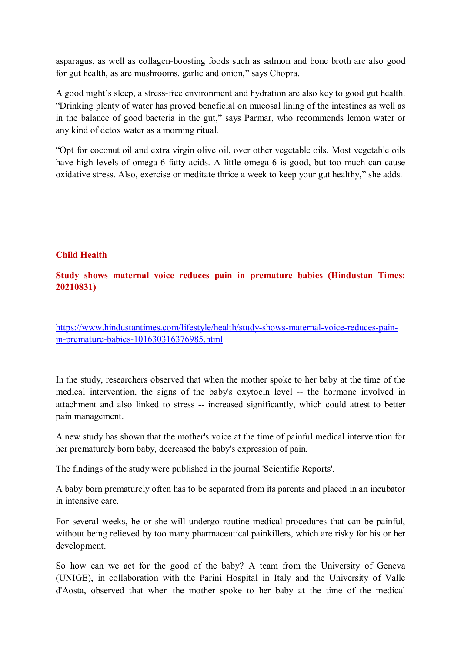asparagus, as well as collagen-boosting foods such as salmon and bone broth are also good for gut health, as are mushrooms, garlic and onion," says Chopra.

A good night's sleep, a stress-free environment and hydration are also key to good gut health. "Drinking plenty of water has proved beneficial on mucosal lining of the intestines as well as in the balance of good bacteria in the gut," says Parmar, who recommends lemon water or any kind of detox water as a morning ritual.

"Opt for coconut oil and extra virgin olive oil, over other vegetable oils. Most vegetable oils have high levels of omega-6 fatty acids. A little omega-6 is good, but too much can cause oxidative stress. Also, exercise or meditate thrice a week to keep your gut healthy," she adds.

#### **Child Health**

#### **Study shows maternal voice reduces pain in premature babies (Hindustan Times: 20210831)**

https://www.hindustantimes.com/lifestyle/health/study-shows-maternal-voice-reduces-painin-premature-babies-101630316376985.html

In the study, researchers observed that when the mother spoke to her baby at the time of the medical intervention, the signs of the baby's oxytocin level -- the hormone involved in attachment and also linked to stress -- increased significantly, which could attest to better pain management.

A new study has shown that the mother's voice at the time of painful medical intervention for her prematurely born baby, decreased the baby's expression of pain.

The findings of the study were published in the journal 'Scientific Reports'.

A baby born prematurely often has to be separated from its parents and placed in an incubator in intensive care.

For several weeks, he or she will undergo routine medical procedures that can be painful, without being relieved by too many pharmaceutical painkillers, which are risky for his or her development.

So how can we act for the good of the baby? A team from the University of Geneva (UNIGE), in collaboration with the Parini Hospital in Italy and the University of Valle d'Aosta, observed that when the mother spoke to her baby at the time of the medical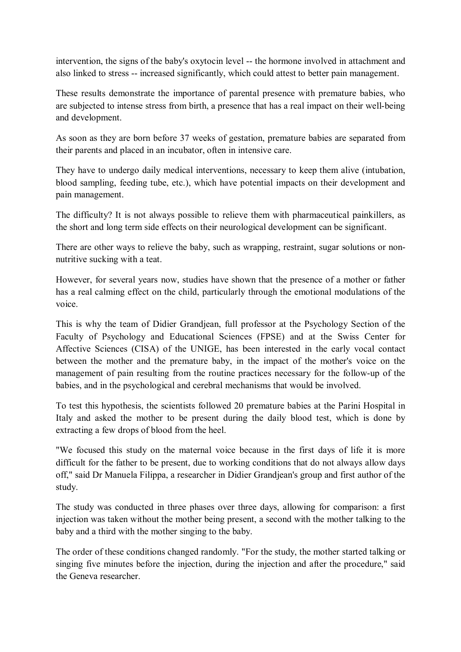intervention, the signs of the baby's oxytocin level -- the hormone involved in attachment and also linked to stress -- increased significantly, which could attest to better pain management.

These results demonstrate the importance of parental presence with premature babies, who are subjected to intense stress from birth, a presence that has a real impact on their well-being and development.

As soon as they are born before 37 weeks of gestation, premature babies are separated from their parents and placed in an incubator, often in intensive care.

They have to undergo daily medical interventions, necessary to keep them alive (intubation, blood sampling, feeding tube, etc.), which have potential impacts on their development and pain management.

The difficulty? It is not always possible to relieve them with pharmaceutical painkillers, as the short and long term side effects on their neurological development can be significant.

There are other ways to relieve the baby, such as wrapping, restraint, sugar solutions or nonnutritive sucking with a teat.

However, for several years now, studies have shown that the presence of a mother or father has a real calming effect on the child, particularly through the emotional modulations of the voice.

This is why the team of Didier Grandjean, full professor at the Psychology Section of the Faculty of Psychology and Educational Sciences (FPSE) and at the Swiss Center for Affective Sciences (CISA) of the UNIGE, has been interested in the early vocal contact between the mother and the premature baby, in the impact of the mother's voice on the management of pain resulting from the routine practices necessary for the follow-up of the babies, and in the psychological and cerebral mechanisms that would be involved.

To test this hypothesis, the scientists followed 20 premature babies at the Parini Hospital in Italy and asked the mother to be present during the daily blood test, which is done by extracting a few drops of blood from the heel.

"We focused this study on the maternal voice because in the first days of life it is more difficult for the father to be present, due to working conditions that do not always allow days off," said Dr Manuela Filippa, a researcher in Didier Grandjean's group and first author of the study.

The study was conducted in three phases over three days, allowing for comparison: a first injection was taken without the mother being present, a second with the mother talking to the baby and a third with the mother singing to the baby.

The order of these conditions changed randomly. "For the study, the mother started talking or singing five minutes before the injection, during the injection and after the procedure," said the Geneva researcher.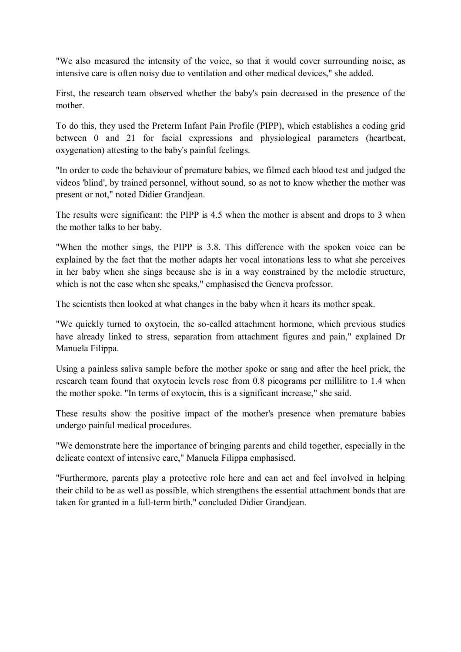"We also measured the intensity of the voice, so that it would cover surrounding noise, as intensive care is often noisy due to ventilation and other medical devices," she added.

First, the research team observed whether the baby's pain decreased in the presence of the mother.

To do this, they used the Preterm Infant Pain Profile (PIPP), which establishes a coding grid between 0 and 21 for facial expressions and physiological parameters (heartbeat, oxygenation) attesting to the baby's painful feelings.

"In order to code the behaviour of premature babies, we filmed each blood test and judged the videos 'blind', by trained personnel, without sound, so as not to know whether the mother was present or not," noted Didier Grandjean.

The results were significant: the PIPP is 4.5 when the mother is absent and drops to 3 when the mother talks to her baby.

"When the mother sings, the PIPP is 3.8. This difference with the spoken voice can be explained by the fact that the mother adapts her vocal intonations less to what she perceives in her baby when she sings because she is in a way constrained by the melodic structure, which is not the case when she speaks," emphasised the Geneva professor.

The scientists then looked at what changes in the baby when it hears its mother speak.

"We quickly turned to oxytocin, the so-called attachment hormone, which previous studies have already linked to stress, separation from attachment figures and pain," explained Dr Manuela Filippa.

Using a painless saliva sample before the mother spoke or sang and after the heel prick, the research team found that oxytocin levels rose from 0.8 picograms per millilitre to 1.4 when the mother spoke. "In terms of oxytocin, this is a significant increase," she said.

These results show the positive impact of the mother's presence when premature babies undergo painful medical procedures.

"We demonstrate here the importance of bringing parents and child together, especially in the delicate context of intensive care," Manuela Filippa emphasised.

"Furthermore, parents play a protective role here and can act and feel involved in helping their child to be as well as possible, which strengthens the essential attachment bonds that are taken for granted in a full-term birth," concluded Didier Grandjean.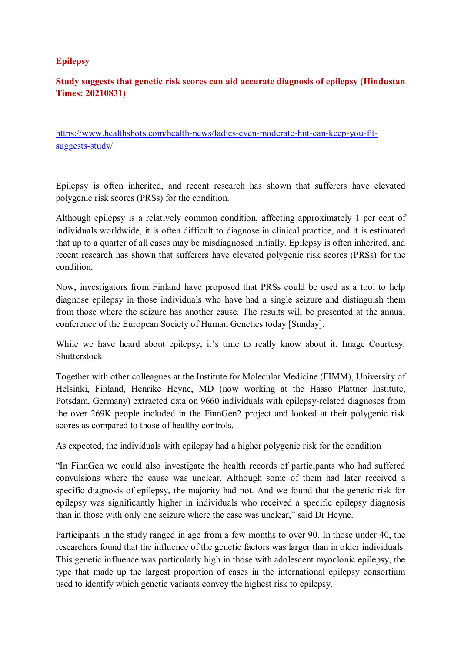#### **Epilepsy**

#### **Study suggests that genetic risk scores can aid accurate diagnosis of epilepsy (Hindustan Times: 20210831)**

https://www.healthshots.com/health-news/ladies-even-moderate-hiit-can-keep-you-fitsuggests-study/

Epilepsy is often inherited, and recent research has shown that sufferers have elevated polygenic risk scores (PRSs) for the condition.

Although epilepsy is a relatively common condition, affecting approximately 1 per cent of individuals worldwide, it is often difficult to diagnose in clinical practice, and it is estimated that up to a quarter of all cases may be misdiagnosed initially. Epilepsy is often inherited, and recent research has shown that sufferers have elevated polygenic risk scores (PRSs) for the condition.

Now, investigators from Finland have proposed that PRSs could be used as a tool to help diagnose epilepsy in those individuals who have had a single seizure and distinguish them from those where the seizure has another cause. The results will be presented at the annual conference of the European Society of Human Genetics today [Sunday].

While we have heard about epilepsy, it's time to really know about it. Image Courtesy: Shutterstock

Together with other colleagues at the Institute for Molecular Medicine (FIMM), University of Helsinki, Finland, Henrike Heyne, MD (now working at the Hasso Plattner Institute, Potsdam, Germany) extracted data on 9660 individuals with epilepsy-related diagnoses from the over 269K people included in the FinnGen2 project and looked at their polygenic risk scores as compared to those of healthy controls.

As expected, the individuals with epilepsy had a higher polygenic risk for the condition

"In FinnGen we could also investigate the health records of participants who had suffered convulsions where the cause was unclear. Although some of them had later received a specific diagnosis of epilepsy, the majority had not. And we found that the genetic risk for epilepsy was significantly higher in individuals who received a specific epilepsy diagnosis than in those with only one seizure where the case was unclear," said Dr Heyne.

Participants in the study ranged in age from a few months to over 90. In those under 40, the researchers found that the influence of the genetic factors was larger than in older individuals. This genetic influence was particularly high in those with adolescent myoclonic epilepsy, the type that made up the largest proportion of cases in the international epilepsy consortium used to identify which genetic variants convey the highest risk to epilepsy.